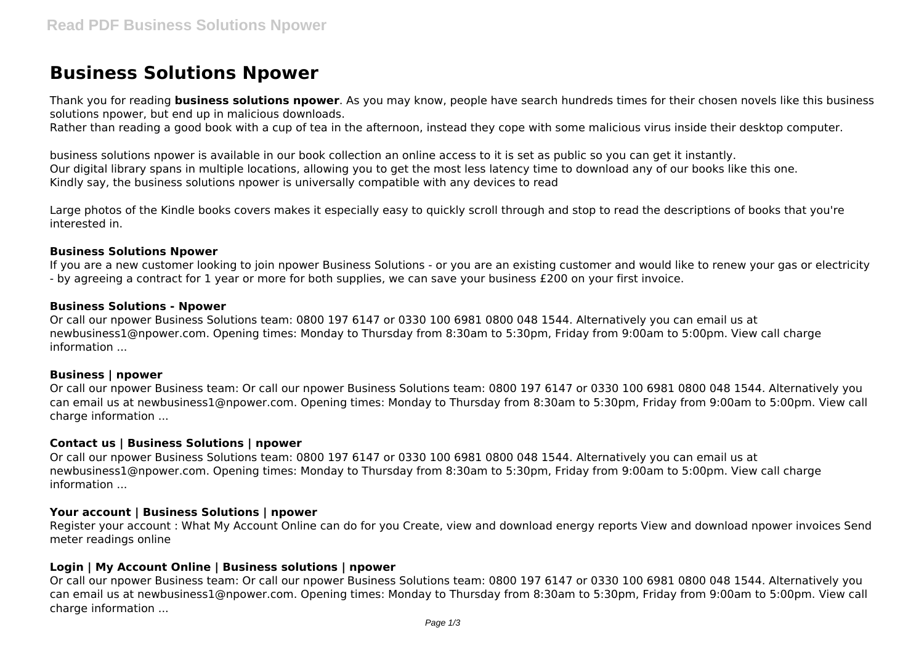# **Business Solutions Npower**

Thank you for reading **business solutions npower**. As you may know, people have search hundreds times for their chosen novels like this business solutions npower, but end up in malicious downloads.

Rather than reading a good book with a cup of tea in the afternoon, instead they cope with some malicious virus inside their desktop computer.

business solutions npower is available in our book collection an online access to it is set as public so you can get it instantly. Our digital library spans in multiple locations, allowing you to get the most less latency time to download any of our books like this one. Kindly say, the business solutions npower is universally compatible with any devices to read

Large photos of the Kindle books covers makes it especially easy to quickly scroll through and stop to read the descriptions of books that you're interested in.

### **Business Solutions Npower**

If you are a new customer looking to join npower Business Solutions - or you are an existing customer and would like to renew your gas or electricity - by agreeing a contract for 1 year or more for both supplies, we can save your business £200 on your first invoice.

### **Business Solutions - Npower**

Or call our npower Business Solutions team: 0800 197 6147 or 0330 100 6981 0800 048 1544. Alternatively you can email us at newbusiness1@npower.com. Opening times: Monday to Thursday from 8:30am to 5:30pm, Friday from 9:00am to 5:00pm. View call charge information ...

### **Business | npower**

Or call our npower Business team: Or call our npower Business Solutions team: 0800 197 6147 or 0330 100 6981 0800 048 1544. Alternatively you can email us at newbusiness1@npower.com. Opening times: Monday to Thursday from 8:30am to 5:30pm, Friday from 9:00am to 5:00pm. View call charge information ...

### **Contact us | Business Solutions | npower**

Or call our npower Business Solutions team: 0800 197 6147 or 0330 100 6981 0800 048 1544. Alternatively you can email us at newbusiness1@npower.com. Opening times: Monday to Thursday from 8:30am to 5:30pm, Friday from 9:00am to 5:00pm. View call charge information ...

# **Your account | Business Solutions | npower**

Register your account : What My Account Online can do for you Create, view and download energy reports View and download npower invoices Send meter readings online

## **Login | My Account Online | Business solutions | npower**

Or call our npower Business team: Or call our npower Business Solutions team: 0800 197 6147 or 0330 100 6981 0800 048 1544. Alternatively you can email us at newbusiness1@npower.com. Opening times: Monday to Thursday from 8:30am to 5:30pm, Friday from 9:00am to 5:00pm. View call charge information ...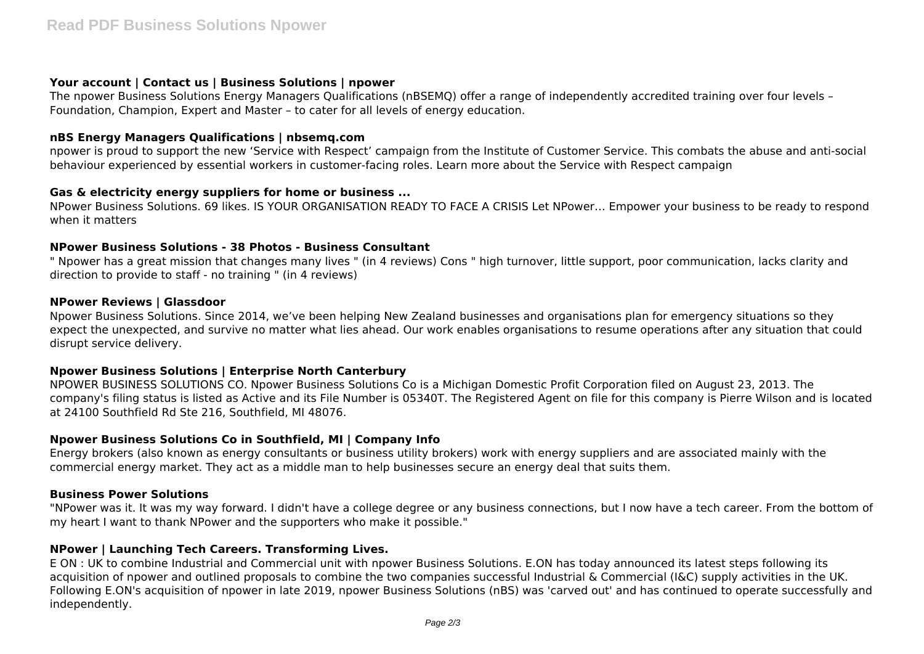# **Your account | Contact us | Business Solutions | npower**

The npower Business Solutions Energy Managers Qualifications (nBSEMQ) offer a range of independently accredited training over four levels – Foundation, Champion, Expert and Master – to cater for all levels of energy education.

## **nBS Energy Managers Qualifications | nbsemq.com**

npower is proud to support the new 'Service with Respect' campaign from the Institute of Customer Service. This combats the abuse and anti-social behaviour experienced by essential workers in customer-facing roles. Learn more about the Service with Respect campaign

## **Gas & electricity energy suppliers for home or business ...**

NPower Business Solutions. 69 likes. IS YOUR ORGANISATION READY TO FACE A CRISIS Let NPower… Empower your business to be ready to respond when it matters

## **NPower Business Solutions - 38 Photos - Business Consultant**

" Npower has a great mission that changes many lives " (in 4 reviews) Cons " high turnover, little support, poor communication, lacks clarity and direction to provide to staff - no training " (in 4 reviews)

## **NPower Reviews | Glassdoor**

Npower Business Solutions. Since 2014, we've been helping New Zealand businesses and organisations plan for emergency situations so they expect the unexpected, and survive no matter what lies ahead. Our work enables organisations to resume operations after any situation that could disrupt service delivery.

## **Npower Business Solutions | Enterprise North Canterbury**

NPOWER BUSINESS SOLUTIONS CO. Npower Business Solutions Co is a Michigan Domestic Profit Corporation filed on August 23, 2013. The company's filing status is listed as Active and its File Number is 05340T. The Registered Agent on file for this company is Pierre Wilson and is located at 24100 Southfield Rd Ste 216, Southfield, MI 48076.

## **Npower Business Solutions Co in Southfield, MI | Company Info**

Energy brokers (also known as energy consultants or business utility brokers) work with energy suppliers and are associated mainly with the commercial energy market. They act as a middle man to help businesses secure an energy deal that suits them.

## **Business Power Solutions**

"NPower was it. It was my way forward. I didn't have a college degree or any business connections, but I now have a tech career. From the bottom of my heart I want to thank NPower and the supporters who make it possible."

## **NPower | Launching Tech Careers. Transforming Lives.**

E ON : UK to combine Industrial and Commercial unit with npower Business Solutions. E.ON has today announced its latest steps following its acquisition of npower and outlined proposals to combine the two companies successful Industrial & Commercial (I&C) supply activities in the UK. Following E.ON's acquisition of npower in late 2019, npower Business Solutions (nBS) was 'carved out' and has continued to operate successfully and independently.